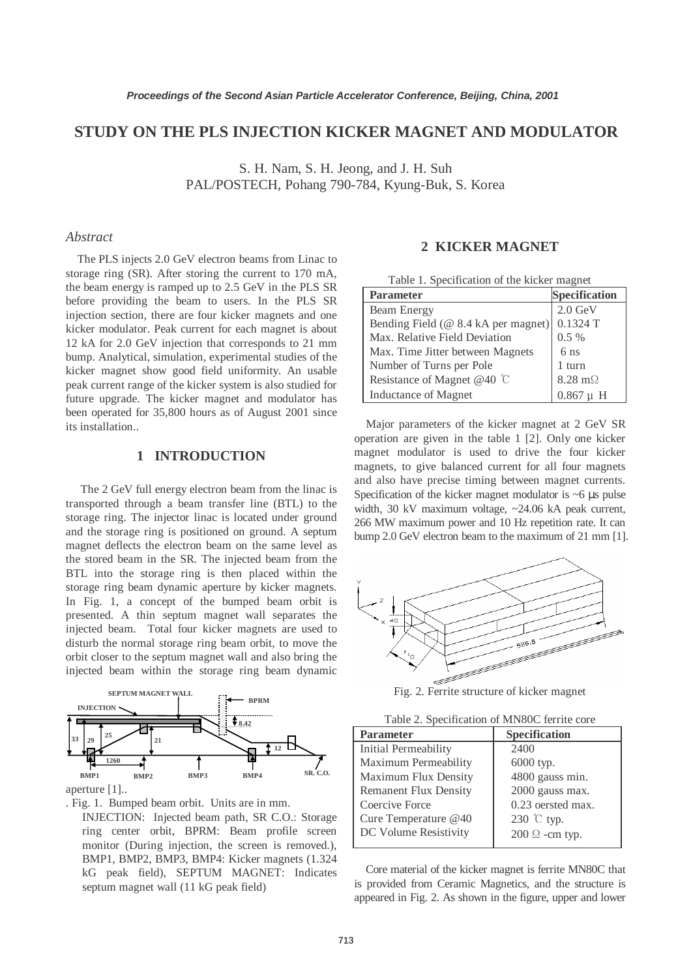# **STUDY ON THE PLS INJECTION KICKER MAGNET AND MODULATOR**

S. H. Nam, S. H. Jeong, and J. H. Suh PAL/POSTECH, Pohang 790-784, Kyung-Buk, S. Korea

### *Abstract*

The PLS injects 2.0 GeV electron beams from Linac to storage ring (SR). After storing the current to 170 mA, the beam energy is ramped up to 2.5 GeV in the PLS SR before providing the beam to users. In the PLS SR injection section, there are four kicker magnets and one kicker modulator. Peak current for each magnet is about 12 kA for 2.0 GeV injection that corresponds to 21 mm bump. Analytical, simulation, experimental studies of the kicker magnet show good field uniformity. An usable peak current range of the kicker system is also studied for future upgrade. The kicker magnet and modulator has been operated for 35,800 hours as of August 2001 since its installation..

#### **1 INTRODUCTION**

 The 2 GeV full energy electron beam from the linac is transported through a beam transfer line (BTL) to the storage ring. The injector linac is located under ground and the storage ring is positioned on ground. A septum magnet deflects the electron beam on the same level as the stored beam in the SR. The injected beam from the BTL into the storage ring is then placed within the storage ring beam dynamic aperture by kicker magnets. In Fig. 1, a concept of the bumped beam orbit is presented. A thin septum magnet wall separates the injected beam. Total four kicker magnets are used to disturb the normal storage ring beam orbit, to move the orbit closer to the septum magnet wall and also bring the injected beam within the storage ring beam dynamic



aperture [1]..

. Fig. 1.Bumped beam orbit. Units are in mm.

INJECTION: Injected beam path, SR C.O.: Storage ring center orbit, BPRM: Beam profile screen monitor (During injection, the screen is removed.), BMP1, BMP2, BMP3, BMP4: Kicker magnets (1.324 kG peak field), SEPTUM MAGNET: Indicates septum magnet wall (11 kG peak field)

# **2 KICKER MAGNET**

| Table 1. Specification of the kicker magnet |                        |  |
|---------------------------------------------|------------------------|--|
| <b>Parameter</b>                            | <b>Specification</b>   |  |
| Beam Energy                                 | $2.0 \text{ GeV}$      |  |
| Bending Field (@ 8.4 kA per magnet)         | $0.1324$ T             |  |
| Max. Relative Field Deviation               | 0.5%                   |  |
| Max. Time Jitter between Magnets            | 6 <sub>ns</sub>        |  |
| Number of Turns per Pole                    | 1 turn                 |  |
| Resistance of Magnet @40 °C                 | $8.28 \text{ m}\Omega$ |  |
| <b>Inductance of Magnet</b>                 | $0.867 \text{ u}$<br>H |  |

Major parameters of the kicker magnet at 2 GeV SR operation are given in the table 1 [2]. Only one kicker magnet modulator is used to drive the four kicker magnets, to give balanced current for all four magnets and also have precise timing between magnet currents. Specification of the kicker magnet modulator is  $~6 \mu s$  pulse width, 30 kV maximum voltage, ~24.06 kA peak current, 266 MW maximum power and 10 Hz repetition rate. It can bump 2.0 GeV electron beam to the maximum of 21 mm [1].



Fig. 2. Ferrite structure of kicker magnet

| <b>Parameter</b>             | Specification         |
|------------------------------|-----------------------|
| Initial Permeability         | 2400                  |
| Maximum Permeability         | 6000 typ.             |
| Maximum Flux Density         | 4800 gauss min.       |
| <b>Remanent Flux Density</b> | 2000 gauss max.       |
| Coercive Force               | 0.23 oersted max.     |
| Cure Temperature @40         | 230 ℃ typ.            |
| DC Volume Resistivity        | $200 \Omega$ -cm typ. |

Core material of the kicker magnet is ferrite MN80C that is provided from Ceramic Magnetics, and the structure is appeared in Fig. 2. As shown in the figure, upper and lower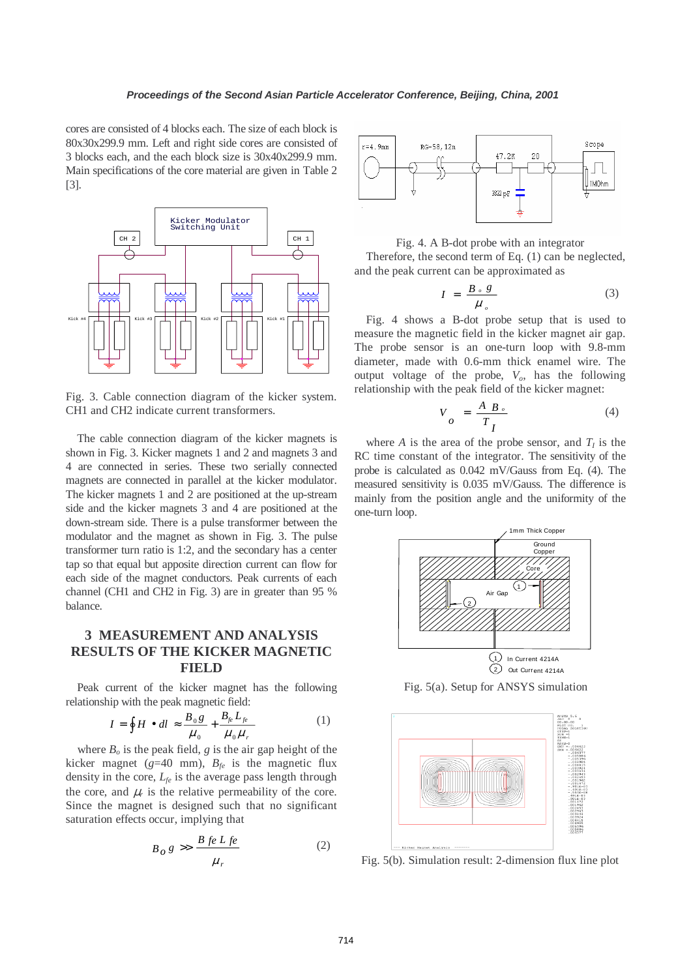cores are consisted of 4 blocks each. The size of each block is 80x30x299.9 mm. Left and right side cores are consisted of 3 blocks each, and the each block size is 30x40x299.9 mm. Main specifications of the core material are given in Table 2 [3].



Fig. 3. Cable connection diagram of the kicker system. CH1 and CH2 indicate current transformers.

The cable connection diagram of the kicker magnets is shown in Fig. 3. Kicker magnets 1 and 2 and magnets 3 and 4 are connected in series. These two serially connected magnets are connected in parallel at the kicker modulator. The kicker magnets 1 and 2 are positioned at the up-stream side and the kicker magnets 3 and 4 are positioned at the down-stream side. There is a pulse transformer between the modulator and the magnet as shown in Fig. 3. The pulse transformer turn ratio is 1:2, and the secondary has a center tap so that equal but apposite direction current can flow for each side of the magnet conductors. Peak currents of each channel (CH1 and CH2 in Fig. 3) are in greater than 95 % balance.

# **3 MEASUREMENT AND ANALYSIS RESULTS OF THE KICKER MAGNETIC FIELD**

Peak current of the kicker magnet has the following relationship with the peak magnetic field:

$$
I = \oint H \bullet dl \approx \frac{B_0 g}{\mu_0} + \frac{B_{f e} L_{f e}}{\mu_0 \mu_r} \tag{1}
$$

where  $B<sub>o</sub>$  is the peak field, *g* is the air gap height of the kicker magnet ( $g=40$  mm),  $B_{fe}$  is the magnetic flux density in the core, *Lfe* is the average pass length through the core, and  $\mu_r$  is the relative permeability of the core. Since the magnet is designed such that no significant saturation effects occur, implying that

$$
B_0 g \gg \frac{B \, \text{fe } L \, \text{fe}}{\mu_r} \tag{2}
$$



Fig. 4. A B-dot probe with an integrator

Therefore, the second term of Eq. (1) can be neglected, and the peak current can be approximated as

$$
I = \frac{B \,_{\circ} \, g}{\mu \,_{\circ}} \tag{3}
$$

Fig. 4 shows a B-dot probe setup that is used to measure the magnetic field in the kicker magnet air gap. The probe sensor is an one-turn loop with 9.8-mm diameter, made with 0.6-mm thick enamel wire. The output voltage of the probe,  $V_o$ , has the following relationship with the peak field of the kicker magnet:

$$
V_o = \frac{A B_o}{T_I} \tag{4}
$$

where *A* is the area of the probe sensor, and  $T<sub>I</sub>$  is the RC time constant of the integrator. The sensitivity of the probe is calculated as 0.042 mV/Gauss from Eq. (4). The measured sensitivity is 0.035 mV/Gauss. The difference is mainly from the position angle and the uniformity of the one-turn loop.



Fig. 5(a). Setup for ANSYS simulation



Fig. 5(b). Simulation result: 2-dimension flux line plot